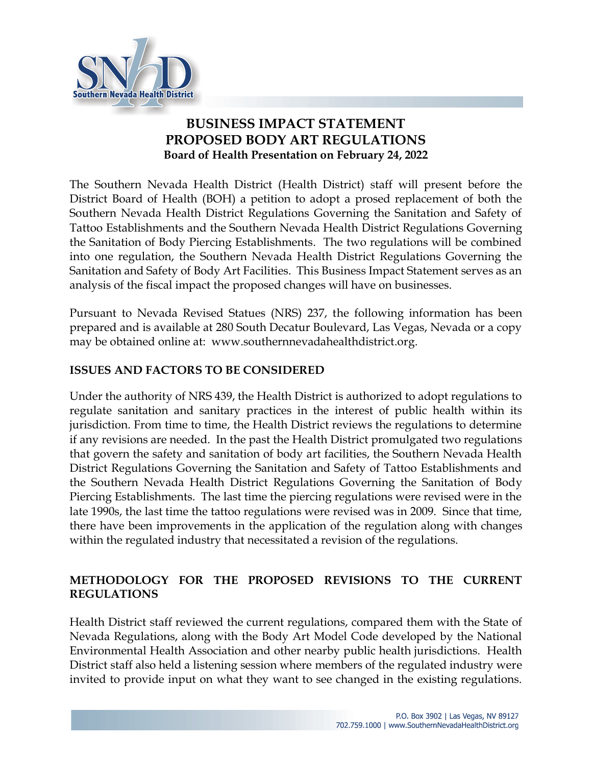

# **BUSINESS IMPACT STATEMENT PROPOSED BODY ART REGULATIONS Board of Health Presentation on February 24, 2022**

The Southern Nevada Health District (Health District) staff will present before the District Board of Health (BOH) a petition to adopt a prosed replacement of both the Southern Nevada Health District Regulations Governing the Sanitation and Safety of Tattoo Establishments and the Southern Nevada Health District Regulations Governing the Sanitation of Body Piercing Establishments. The two regulations will be combined into one regulation, the Southern Nevada Health District Regulations Governing the Sanitation and Safety of Body Art Facilities. This Business Impact Statement serves as an analysis of the fiscal impact the proposed changes will have on businesses.

Pursuant to Nevada Revised Statues (NRS) 237, the following information has been prepared and is available at 280 South Decatur Boulevard, Las Vegas, Nevada or a copy may be obtained online at: www.southernnevadahealthdistrict.org.

### **ISSUES AND FACTORS TO BE CONSIDERED**

Under the authority of NRS 439, the Health District is authorized to adopt regulations to regulate sanitation and sanitary practices in the interest of public health within its jurisdiction. From time to time, the Health District reviews the regulations to determine if any revisions are needed. In the past the Health District promulgated two regulations that govern the safety and sanitation of body art facilities, the Southern Nevada Health District Regulations Governing the Sanitation and Safety of Tattoo Establishments and the Southern Nevada Health District Regulations Governing the Sanitation of Body Piercing Establishments. The last time the piercing regulations were revised were in the late 1990s, the last time the tattoo regulations were revised was in 2009. Since that time, there have been improvements in the application of the regulation along with changes within the regulated industry that necessitated a revision of the regulations.

## **METHODOLOGY FOR THE PROPOSED REVISIONS TO THE CURRENT REGULATIONS**

Health District staff reviewed the current regulations, compared them with the State of Nevada Regulations, along with the Body Art Model Code developed by the National Environmental Health Association and other nearby public health jurisdictions. Health District staff also held a listening session where members of the regulated industry were invited to provide input on what they want to see changed in the existing regulations.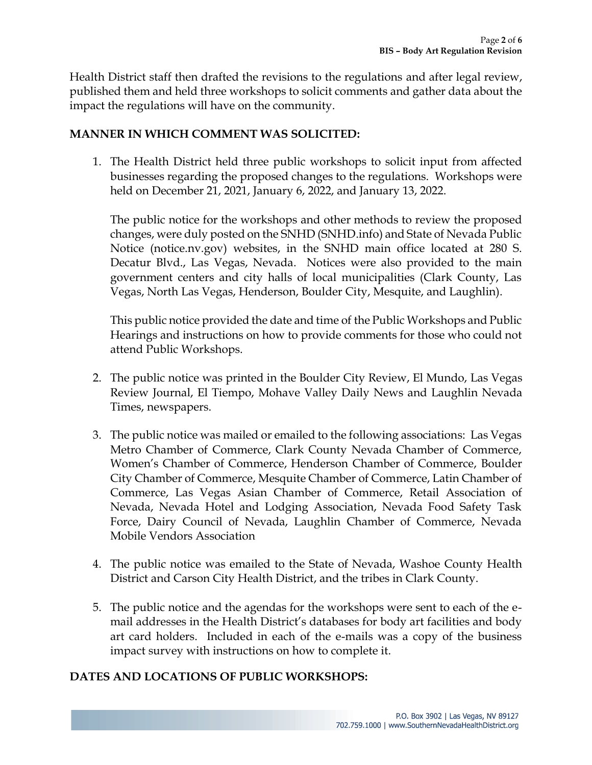Health District staff then drafted the revisions to the regulations and after legal review, published them and held three workshops to solicit comments and gather data about the impact the regulations will have on the community.

#### **MANNER IN WHICH COMMENT WAS SOLICITED:**

1. The Health District held three public workshops to solicit input from affected businesses regarding the proposed changes to the regulations. Workshops were held on December 21, 2021, January 6, 2022, and January 13, 2022.

The public notice for the workshops and other methods to review the proposed changes, were duly posted on the SNHD (SNHD.info) and State of Nevada Public Notice (notice.nv.gov) websites, in the SNHD main office located at 280 S. Decatur Blvd., Las Vegas, Nevada. Notices were also provided to the main government centers and city halls of local municipalities (Clark County, Las Vegas, North Las Vegas, Henderson, Boulder City, Mesquite, and Laughlin).

This public notice provided the date and time of the Public Workshops and Public Hearings and instructions on how to provide comments for those who could not attend Public Workshops.

- 2. The public notice was printed in the Boulder City Review, El Mundo, Las Vegas Review Journal, El Tiempo, Mohave Valley Daily News and Laughlin Nevada Times, newspapers.
- 3. The public notice was mailed or emailed to the following associations: Las Vegas Metro Chamber of Commerce, Clark County Nevada Chamber of Commerce, Women's Chamber of Commerce, Henderson Chamber of Commerce, Boulder City Chamber of Commerce, Mesquite Chamber of Commerce, Latin Chamber of Commerce, Las Vegas Asian Chamber of Commerce, Retail Association of Nevada, Nevada Hotel and Lodging Association, Nevada Food Safety Task Force, Dairy Council of Nevada, Laughlin Chamber of Commerce, Nevada Mobile Vendors Association
- 4. The public notice was emailed to the State of Nevada, Washoe County Health District and Carson City Health District, and the tribes in Clark County.
- 5. The public notice and the agendas for the workshops were sent to each of the email addresses in the Health District's databases for body art facilities and body art card holders. Included in each of the e-mails was a copy of the business impact survey with instructions on how to complete it.

#### **DATES AND LOCATIONS OF PUBLIC WORKSHOPS:**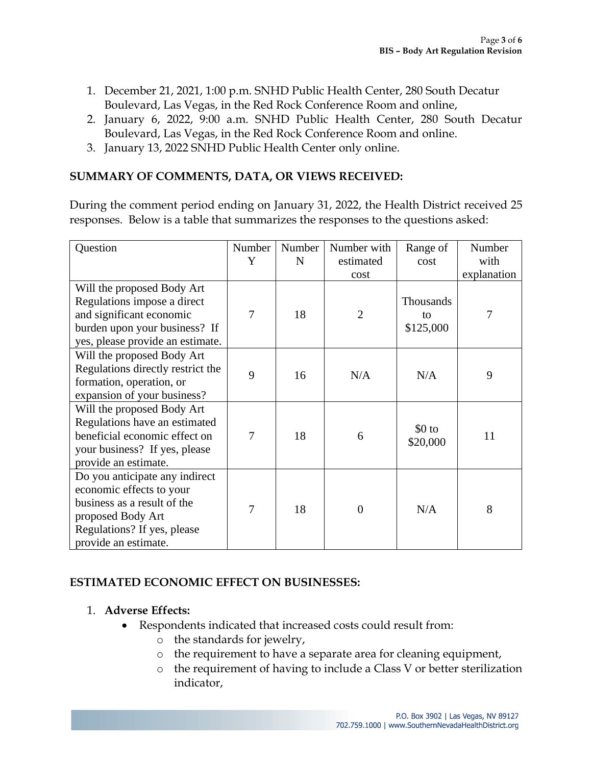- 1. December 21, 2021, 1:00 p.m. SNHD Public Health Center, 280 South Decatur Boulevard, Las Vegas, in the Red Rock Conference Room and online,
- 2. January 6, 2022, 9:00 a.m. SNHD Public Health Center, 280 South Decatur Boulevard, Las Vegas, in the Red Rock Conference Room and online.
- 3. January 13, 2022 SNHD Public Health Center only online.

### **SUMMARY OF COMMENTS, DATA, OR VIEWS RECEIVED:**

During the comment period ending on January 31, 2022, the Health District received 25 responses. Below is a table that summarizes the responses to the questions asked:

| Question                          | Number | Number | Number with    | Range of  | Number      |
|-----------------------------------|--------|--------|----------------|-----------|-------------|
|                                   | Y      | N      | estimated      | cost      | with        |
|                                   |        |        | cost           |           | explanation |
| Will the proposed Body Art        |        |        |                |           |             |
| Regulations impose a direct       |        |        |                | Thousands |             |
| and significant economic          | 7      | 18     | $\overline{2}$ | to        | 7           |
| burden upon your business? If     |        |        |                | \$125,000 |             |
| yes, please provide an estimate.  |        |        |                |           |             |
| Will the proposed Body Art        |        |        |                |           |             |
| Regulations directly restrict the | 9      | 16     | N/A            | N/A       | 9           |
| formation, operation, or          |        |        |                |           |             |
| expansion of your business?       |        |        |                |           |             |
| Will the proposed Body Art        |        |        |                |           |             |
| Regulations have an estimated     |        |        |                | $$0$ to   |             |
| beneficial economic effect on     | 7      | 18     | 6              | \$20,000  | 11          |
| your business? If yes, please     |        |        |                |           |             |
| provide an estimate.              |        |        |                |           |             |
| Do you anticipate any indirect    |        |        |                |           |             |
| economic effects to your          |        |        |                |           |             |
| business as a result of the       | 7      | 18     | $\overline{0}$ | N/A       | 8           |
| proposed Body Art                 |        |        |                |           |             |
| Regulations? If yes, please       |        |        |                |           |             |
| provide an estimate.              |        |        |                |           |             |

### **ESTIMATED ECONOMIC EFFECT ON BUSINESSES:**

#### 1. **Adverse Effects:**

- Respondents indicated that increased costs could result from:
	- o the standards for jewelry,
	- o the requirement to have a separate area for cleaning equipment,
	- o the requirement of having to include a Class V or better sterilization indicator,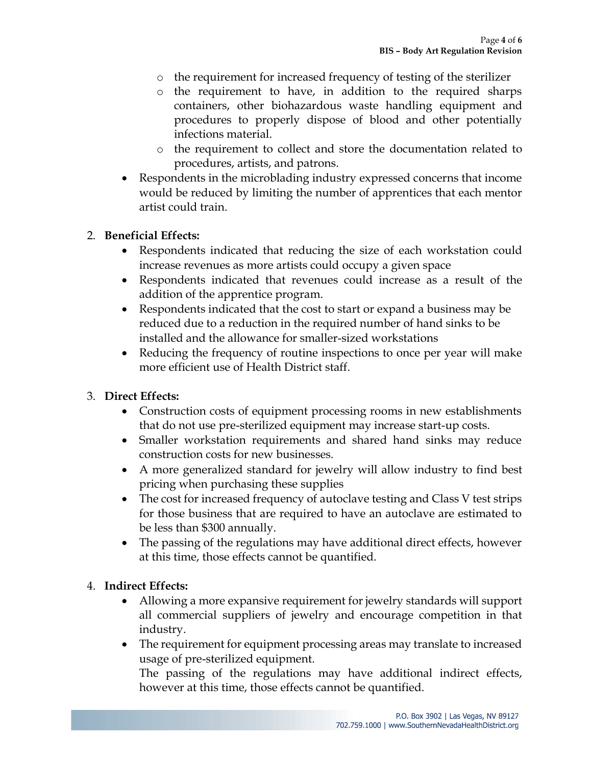- o the requirement for increased frequency of testing of the sterilizer
- o the requirement to have, in addition to the required sharps containers, other biohazardous waste handling equipment and procedures to properly dispose of blood and other potentially infections material.
- o the requirement to collect and store the documentation related to procedures, artists, and patrons.
- Respondents in the microblading industry expressed concerns that income would be reduced by limiting the number of apprentices that each mentor artist could train.

#### 2. **Beneficial Effects:**

- Respondents indicated that reducing the size of each workstation could increase revenues as more artists could occupy a given space
- Respondents indicated that revenues could increase as a result of the addition of the apprentice program.
- Respondents indicated that the cost to start or expand a business may be reduced due to a reduction in the required number of hand sinks to be installed and the allowance for smaller-sized workstations
- Reducing the frequency of routine inspections to once per year will make more efficient use of Health District staff.

### 3. **Direct Effects:**

- Construction costs of equipment processing rooms in new establishments that do not use pre-sterilized equipment may increase start-up costs.
- Smaller workstation requirements and shared hand sinks may reduce construction costs for new businesses.
- A more generalized standard for jewelry will allow industry to find best pricing when purchasing these supplies
- The cost for increased frequency of autoclave testing and Class V test strips for those business that are required to have an autoclave are estimated to be less than \$300 annually.
- The passing of the regulations may have additional direct effects, however at this time, those effects cannot be quantified.

#### 4. **Indirect Effects:**

- Allowing a more expansive requirement for jewelry standards will support all commercial suppliers of jewelry and encourage competition in that industry.
- The requirement for equipment processing areas may translate to increased usage of pre-sterilized equipment.

The passing of the regulations may have additional indirect effects, however at this time, those effects cannot be quantified.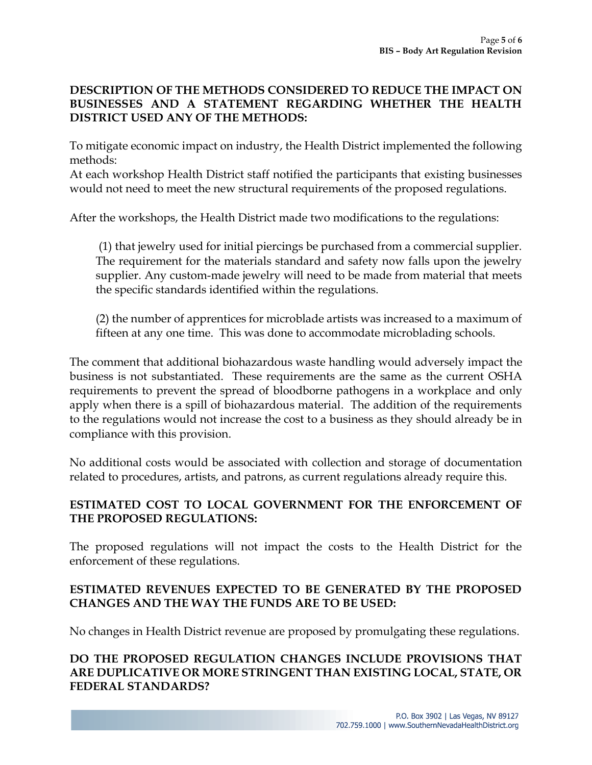### **DESCRIPTION OF THE METHODS CONSIDERED TO REDUCE THE IMPACT ON BUSINESSES AND A STATEMENT REGARDING WHETHER THE HEALTH DISTRICT USED ANY OF THE METHODS:**

To mitigate economic impact on industry, the Health District implemented the following methods:

At each workshop Health District staff notified the participants that existing businesses would not need to meet the new structural requirements of the proposed regulations.

After the workshops, the Health District made two modifications to the regulations:

(1) that jewelry used for initial piercings be purchased from a commercial supplier. The requirement for the materials standard and safety now falls upon the jewelry supplier. Any custom-made jewelry will need to be made from material that meets the specific standards identified within the regulations.

(2) the number of apprentices for microblade artists was increased to a maximum of fifteen at any one time. This was done to accommodate microblading schools.

The comment that additional biohazardous waste handling would adversely impact the business is not substantiated. These requirements are the same as the current OSHA requirements to prevent the spread of bloodborne pathogens in a workplace and only apply when there is a spill of biohazardous material. The addition of the requirements to the regulations would not increase the cost to a business as they should already be in compliance with this provision.

No additional costs would be associated with collection and storage of documentation related to procedures, artists, and patrons, as current regulations already require this.

### **ESTIMATED COST TO LOCAL GOVERNMENT FOR THE ENFORCEMENT OF THE PROPOSED REGULATIONS:**

The proposed regulations will not impact the costs to the Health District for the enforcement of these regulations.

### **ESTIMATED REVENUES EXPECTED TO BE GENERATED BY THE PROPOSED CHANGES AND THE WAY THE FUNDS ARE TO BE USED:**

No changes in Health District revenue are proposed by promulgating these regulations.

### **DO THE PROPOSED REGULATION CHANGES INCLUDE PROVISIONS THAT ARE DUPLICATIVE OR MORE STRINGENT THAN EXISTING LOCAL, STATE, OR FEDERAL STANDARDS?**